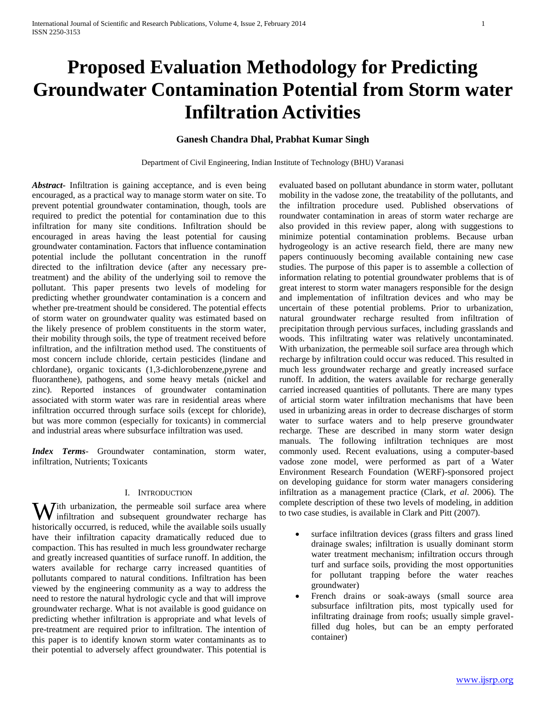# **Proposed Evaluation Methodology for Predicting Groundwater Contamination Potential from Storm water Infiltration Activities**

# **Ganesh Chandra Dhal, Prabhat Kumar Singh**

Department of Civil Engineering, Indian Institute of Technology (BHU) Varanasi

*Abstract***-** Infiltration is gaining acceptance, and is even being encouraged, as a practical way to manage storm water on site. To prevent potential groundwater contamination, though, tools are required to predict the potential for contamination due to this infiltration for many site conditions. Infiltration should be encouraged in areas having the least potential for causing groundwater contamination. Factors that influence contamination potential include the pollutant concentration in the runoff directed to the infiltration device (after any necessary pretreatment) and the ability of the underlying soil to remove the pollutant. This paper presents two levels of modeling for predicting whether groundwater contamination is a concern and whether pre-treatment should be considered. The potential effects of storm water on groundwater quality was estimated based on the likely presence of problem constituents in the storm water, their mobility through soils, the type of treatment received before infiltration, and the infiltration method used. The constituents of most concern include chloride, certain pesticides (lindane and chlordane), organic toxicants (1,3-dichlorobenzene,pyrene and fluoranthene), pathogens, and some heavy metals (nickel and zinc). Reported instances of groundwater contamination associated with storm water was rare in residential areas where infiltration occurred through surface soils (except for chloride), but was more common (especially for toxicants) in commercial and industrial areas where subsurface infiltration was used.

*Index Terms*- Groundwater contamination, storm water, infiltration, Nutrients; Toxicants

#### I. INTRODUCTION

With urbanization, the permeable soil surface area where<br>infiltration and subsequent groundwater recharge has infiltration and subsequent groundwater recharge has historically occurred, is reduced, while the available soils usually have their infiltration capacity dramatically reduced due to compaction. This has resulted in much less groundwater recharge and greatly increased quantities of surface runoff. In addition, the waters available for recharge carry increased quantities of pollutants compared to natural conditions. Infiltration has been viewed by the engineering community as a way to address the need to restore the natural hydrologic cycle and that will improve groundwater recharge. What is not available is good guidance on predicting whether infiltration is appropriate and what levels of pre-treatment are required prior to infiltration. The intention of this paper is to identify known storm water contaminants as to their potential to adversely affect groundwater. This potential is

evaluated based on pollutant abundance in storm water, pollutant mobility in the vadose zone, the treatability of the pollutants, and the infiltration procedure used. Published observations of roundwater contamination in areas of storm water recharge are also provided in this review paper, along with suggestions to minimize potential contamination problems. Because urban hydrogeology is an active research field, there are many new papers continuously becoming available containing new case studies. The purpose of this paper is to assemble a collection of information relating to potential groundwater problems that is of great interest to storm water managers responsible for the design and implementation of infiltration devices and who may be uncertain of these potential problems. Prior to urbanization, natural groundwater recharge resulted from infiltration of precipitation through pervious surfaces, including grasslands and woods. This infiltrating water was relatively uncontaminated. With urbanization, the permeable soil surface area through which recharge by infiltration could occur was reduced. This resulted in much less groundwater recharge and greatly increased surface runoff. In addition, the waters available for recharge generally carried increased quantities of pollutants. There are many types of articial storm water infiltration mechanisms that have been used in urbanizing areas in order to decrease discharges of storm water to surface waters and to help preserve groundwater recharge. These are described in many storm water design manuals. The following infiltration techniques are most commonly used. Recent evaluations, using a computer-based vadose zone model, were performed as part of a Water Environment Research Foundation (WERF)-sponsored project on developing guidance for storm water managers considering infiltration as a management practice (Clark, *et al*. 2006). The complete description of these two levels of modeling, in addition to two case studies, is available in Clark and Pitt (2007).

- surface infiltration devices (grass filters and grass lined drainage swales; infiltration is usually dominant storm water treatment mechanism; infiltration occurs through turf and surface soils, providing the most opportunities for pollutant trapping before the water reaches groundwater)
- French drains or soak-aways (small source area subsurface infiltration pits, most typically used for infiltrating drainage from roofs; usually simple gravelfilled dug holes, but can be an empty perforated container)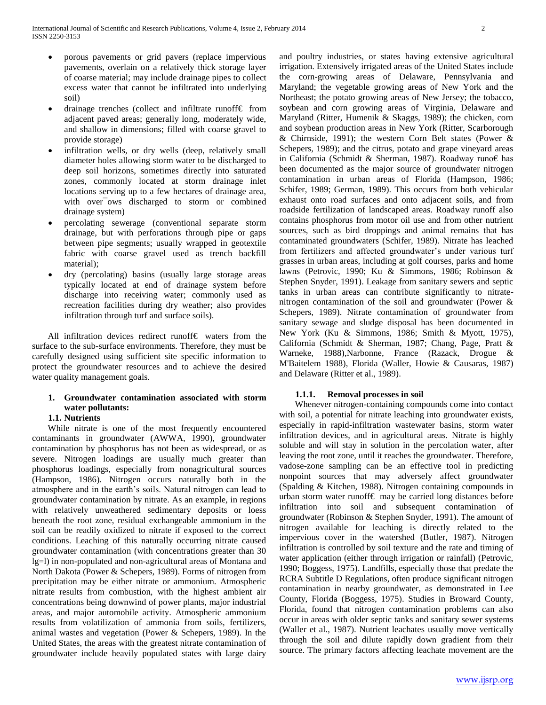- porous pavements or grid pavers (replace impervious pavements, overlain on a relatively thick storage layer of coarse material; may include drainage pipes to collect excess water that cannot be infiltrated into underlying soil)
- drainage trenches (collect and infiltrate runoff€ from adjacent paved areas; generally long, moderately wide, and shallow in dimensions; filled with coarse gravel to provide storage)
- infiltration wells, or dry wells (deep, relatively small diameter holes allowing storm water to be discharged to deep soil horizons, sometimes directly into saturated zones, commonly located at storm drainage inlet locations serving up to a few hectares of drainage area, with over<sup>ows</sup> discharged to storm or combined drainage system)
- percolating sewerage (conventional separate storm drainage, but with perforations through pipe or gaps between pipe segments; usually wrapped in geotextile fabric with coarse gravel used as trench backfill material);
- dry (percolating) basins (usually large storage areas typically located at end of drainage system before discharge into receiving water; commonly used as recreation facilities during dry weather; also provides infiltration through turf and surface soils).

 All infiltration devices redirect runoff€ waters from the surface to the sub-surface environments. Therefore, they must be carefully designed using sufficient site specific information to protect the groundwater resources and to achieve the desired water quality management goals.

## **1. Groundwater contamination associated with storm water pollutants:**

# **1.1. Nutrients**

 While nitrate is one of the most frequently encountered contaminants in groundwater (AWWA, 1990), groundwater contamination by phosphorus has not been as widespread, or as severe. Nitrogen loadings are usually much greater than phosphorus loadings, especially from nonagricultural sources (Hampson, 1986). Nitrogen occurs naturally both in the atmosphere and in the earth's soils. Natural nitrogen can lead to groundwater contamination by nitrate. As an example, in regions with relatively unweathered sedimentary deposits or loess beneath the root zone, residual exchangeable ammonium in the soil can be readily oxidized to nitrate if exposed to the correct conditions. Leaching of this naturally occurring nitrate caused groundwater contamination (with concentrations greater than 30 lg=l) in non-populated and non-agricultural areas of Montana and North Dakota (Power & Schepers, 1989). Forms of nitrogen from precipitation may be either nitrate or ammonium. Atmospheric nitrate results from combustion, with the highest ambient air concentrations being downwind of power plants, major industrial areas, and major automobile activity. Atmospheric ammonium results from volatilization of ammonia from soils, fertilizers, animal wastes and vegetation (Power & Schepers, 1989). In the United States, the areas with the greatest nitrate contamination of groundwater include heavily populated states with large dairy

and poultry industries, or states having extensive agricultural irrigation. Extensively irrigated areas of the United States include the corn-growing areas of Delaware, Pennsylvania and Maryland; the vegetable growing areas of New York and the Northeast; the potato growing areas of New Jersey; the tobacco, soybean and corn growing areas of Virginia, Delaware and Maryland (Ritter, Humenik & Skaggs, 1989); the chicken, corn and soybean production areas in New York (Ritter, Scarborough & Chirnside, 1991); the western Corn Belt states (Power & Schepers, 1989); and the citrus, potato and grape vineyard areas in California (Schmidt & Sherman, 1987). Roadway runo€ has been documented as the major source of groundwater nitrogen contamination in urban areas of Florida (Hampson, 1986; Schifer, 1989; German, 1989). This occurs from both vehicular exhaust onto road surfaces and onto adjacent soils, and from roadside fertilization of landscaped areas. Roadway runoff also contains phosphorus from motor oil use and from other nutrient sources, such as bird droppings and animal remains that has contaminated groundwaters (Schifer, 1989). Nitrate has leached from fertilizers and affected groundwater's under various turf grasses in urban areas, including at golf courses, parks and home lawns (Petrovic, 1990; Ku & Simmons, 1986; Robinson & Stephen Snyder, 1991). Leakage from sanitary sewers and septic tanks in urban areas can contribute significantly to nitratenitrogen contamination of the soil and groundwater (Power & Schepers, 1989). Nitrate contamination of groundwater from sanitary sewage and sludge disposal has been documented in New York (Ku & Simmons, 1986; Smith & Myott, 1975), California (Schmidt & Sherman, 1987; Chang, Page, Pratt & Warneke, 1988),Narbonne, France (Razack, Drogue & M'Baitelem 1988), Florida (Waller, Howie & Causaras, 1987) and Delaware (Ritter et al., 1989).

# **1.1.1. Removal processes in soil**

 Whenever nitrogen-containing compounds come into contact with soil, a potential for nitrate leaching into groundwater exists, especially in rapid-infiltration wastewater basins, storm water infiltration devices, and in agricultural areas. Nitrate is highly soluble and will stay in solution in the percolation water, after leaving the root zone, until it reaches the groundwater. Therefore, vadose-zone sampling can be an effective tool in predicting nonpoint sources that may adversely affect groundwater (Spalding & Kitchen, 1988). Nitrogen containing compounds in urban storm water runoff€ may be carried long distances before infiltration into soil and subsequent contamination of groundwater (Robinson & Stephen Snyder, 1991). The amount of nitrogen available for leaching is directly related to the impervious cover in the watershed (Butler, 1987). Nitrogen infiltration is controlled by soil texture and the rate and timing of water application (either through irrigation or rainfall) (Petrovic, 1990; Boggess, 1975). Landfills, especially those that predate the RCRA Subtitle D Regulations, often produce significant nitrogen contamination in nearby groundwater, as demonstrated in Lee County, Florida (Boggess, 1975). Studies in Broward County, Florida, found that nitrogen contamination problems can also occur in areas with older septic tanks and sanitary sewer systems (Waller et al., 1987). Nutrient leachates usually move vertically through the soil and dilute rapidly down gradient from their source. The primary factors affecting leachate movement are the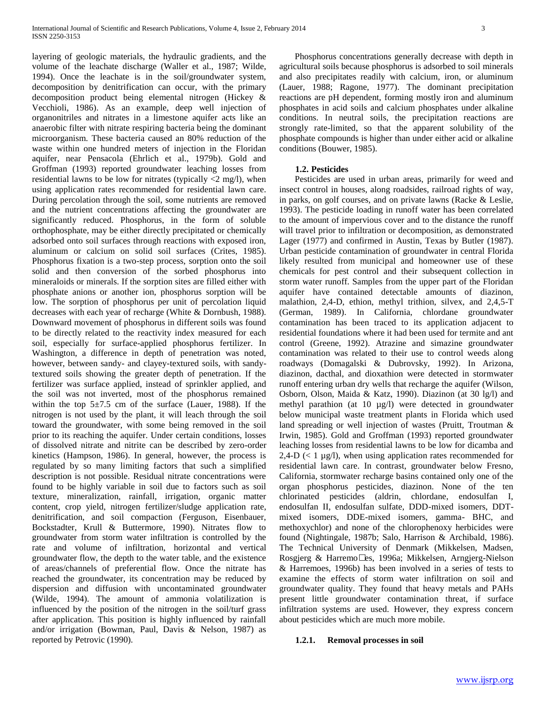layering of geologic materials, the hydraulic gradients, and the volume of the leachate discharge (Waller et al., 1987; Wilde, 1994). Once the leachate is in the soil/groundwater system, decomposition by denitrification can occur, with the primary decomposition product being elemental nitrogen (Hickey & Vecchioli, 1986). As an example, deep well injection of organonitriles and nitrates in a limestone aquifer acts like an anaerobic filter with nitrate respiring bacteria being the dominant microorganism. These bacteria caused an 80% reduction of the waste within one hundred meters of injection in the Floridan aquifer, near Pensacola (Ehrlich et al., 1979b). Gold and Groffman (1993) reported groundwater leaching losses from residential lawns to be low for nitrates (typically <2 mg/l), when using application rates recommended for residential lawn care. During percolation through the soil, some nutrients are removed and the nutrient concentrations affecting the groundwater are significantly reduced. Phosphorus, in the form of soluble orthophosphate, may be either directly precipitated or chemically adsorbed onto soil surfaces through reactions with exposed iron, aluminum or calcium on solid soil surfaces (Crites, 1985). Phosphorus fixation is a two-step process, sorption onto the soil solid and then conversion of the sorbed phosphorus into mineraloids or minerals. If the sorption sites are filled either with phosphate anions or another ion, phosphorus sorption will be low. The sorption of phosphorus per unit of percolation liquid decreases with each year of recharge (White & Dornbush, 1988). Downward movement of phosphorus in different soils was found to be directly related to the reactivity index measured for each soil, especially for surface-applied phosphorus fertilizer. In Washington, a difference in depth of penetration was noted, however, between sandy- and clayey-textured soils, with sandytextured soils showing the greater depth of penetration. If the fertilizer was surface applied, instead of sprinkler applied, and the soil was not inverted, most of the phosphorus remained within the top  $5\pm7.5$  cm of the surface (Lauer, 1988). If the nitrogen is not used by the plant, it will leach through the soil toward the groundwater, with some being removed in the soil prior to its reaching the aquifer. Under certain conditions, losses of dissolved nitrate and nitrite can be described by zero-order kinetics (Hampson, 1986). In general, however, the process is regulated by so many limiting factors that such a simplified description is not possible. Residual nitrate concentrations were found to be highly variable in soil due to factors such as soil texture, mineralization, rainfall, irrigation, organic matter content, crop yield, nitrogen fertilizer/sludge application rate, denitrification, and soil compaction (Ferguson, Eisenbauer, Bockstadter, Krull & Buttermore, 1990). Nitrates flow to groundwater from storm water infiltration is controlled by the rate and volume of infiltration, horizontal and vertical groundwater flow, the depth to the water table, and the existence of areas/channels of preferential flow. Once the nitrate has reached the groundwater, its concentration may be reduced by dispersion and diffusion with uncontaminated groundwater (Wilde, 1994). The amount of ammonia volatilization is influenced by the position of the nitrogen in the soil/turf grass after application. This position is highly influenced by rainfall and/or irrigation (Bowman, Paul, Davis & Nelson, 1987) as reported by Petrovic (1990).

 Phosphorus concentrations generally decrease with depth in agricultural soils because phosphorus is adsorbed to soil minerals and also precipitates readily with calcium, iron, or aluminum (Lauer, 1988; Ragone, 1977). The dominant precipitation reactions are pH dependent, forming mostly iron and aluminum phosphates in acid soils and calcium phosphates under alkaline conditions. In neutral soils, the precipitation reactions are strongly rate-limited, so that the apparent solubility of the phosphate compounds is higher than under either acid or alkaline conditions (Bouwer, 1985).

#### **1.2. Pesticides**

 Pesticides are used in urban areas, primarily for weed and insect control in houses, along roadsides, railroad rights of way, in parks, on golf courses, and on private lawns (Racke & Leslie, 1993). The pesticide loading in runoff water has been correlated to the amount of impervious cover and to the distance the runoff will travel prior to infiltration or decomposition, as demonstrated Lager (1977) and confirmed in Austin, Texas by Butler (1987). Urban pesticide contamination of groundwater in central Florida likely resulted from municipal and homeowner use of these chemicals for pest control and their subsequent collection in storm water runoff. Samples from the upper part of the Floridan aquifer have contained detectable amounts of diazinon, malathion, 2,4-D, ethion, methyl trithion, silvex, and 2,4,5-T (German, 1989). In California, chlordane groundwater contamination has been traced to its application adjacent to residential foundations where it had been used for termite and ant control (Greene, 1992). Atrazine and simazine groundwater contamination was related to their use to control weeds along roadways (Domagalski & Dubrovsky, 1992). In Arizona, diazinon, dacthal, and dioxathion were detected in stormwater runoff entering urban dry wells that recharge the aquifer (Wilson, Osborn, Olson, Maida & Katz, 1990). Diazinon (at 30 lg/l) and methyl parathion (at 10 µg/l) were detected in groundwater below municipal waste treatment plants in Florida which used land spreading or well injection of wastes (Pruitt, Troutman & Irwin, 1985). Gold and Groffman (1993) reported groundwater leaching losses from residential lawns to be low for dicamba and 2,4-D  $(< 1 \mu g/l)$ , when using application rates recommended for residential lawn care. In contrast, groundwater below Fresno, California, stormwater recharge basins contained only one of the organ phosphorus pesticides, diazinon. None of the ten chlorinated pesticides (aldrin, chlordane, endosulfan I, endosulfan II, endosulfan sulfate, DDD-mixed isomers, DDTmixed isomers, DDE-mixed isomers, gamma- BHC, and methoxychlor) and none of the chlorophenoxy herbicides were found (Nightingale, 1987b; Salo, Harrison & Archibald, 1986). The Technical University of Denmark (Mikkelsen, Madsen, Rosgjerg & Harremo• es, 1996a; Mikkelsen, Arngjerg-Nielson & Harremoes, 1996b) has been involved in a series of tests to examine the effects of storm water infiltration on soil and groundwater quality. They found that heavy metals and PAHs present little groundwater contamination threat, if surface infiltration systems are used. However, they express concern about pesticides which are much more mobile.

#### **1.2.1. Removal processes in soil**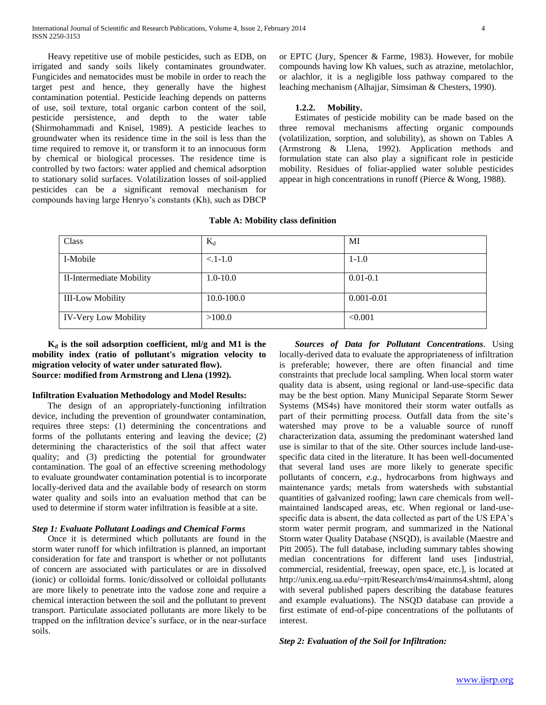Heavy repetitive use of mobile pesticides, such as EDB, on irrigated and sandy soils likely contaminates groundwater. Fungicides and nematocides must be mobile in order to reach the target pest and hence, they generally have the highest contamination potential. Pesticide leaching depends on patterns of use, soil texture, total organic carbon content of the soil, pesticide persistence, and depth to the water table (Shirmohammadi and Knisel, 1989). A pesticide leaches to groundwater when its residence time in the soil is less than the time required to remove it, or transform it to an innocuous form by chemical or biological processes. The residence time is controlled by two factors: water applied and chemical adsorption to stationary solid surfaces. Volatilization losses of soil-applied pesticides can be a significant removal mechanism for compounds having large Henryo's constants (Kh), such as DBCP or EPTC (Jury, Spencer & Farme, 1983). However, for mobile compounds having low Kh values, such as atrazine, metolachlor, or alachlor, it is a negligible loss pathway compared to the leaching mechanism (Alhajjar, Simsiman & Chesters, 1990).

#### **1.2.2. Mobility.**

 Estimates of pesticide mobility can be made based on the three removal mechanisms affecting organic compounds (volatilization, sorption, and solubility), as shown on Tables A (Armstrong & Llena, 1992). Application methods and formulation state can also play a significant role in pesticide mobility. Residues of foliar-applied water soluble pesticides appear in high concentrations in runoff (Pierce & Wong, 1988).

### **Table A: Mobility class definition**

 **K<sup>d</sup> is the soil adsorption coefficient, ml/g and M1 is the mobility index (ratio of pollutant's migration velocity to migration velocity of water under saturated flow). Source: modified from Armstrong and Llena (1992).**

## **Infiltration Evaluation Methodology and Model Results:**

 The design of an appropriately-functioning infiltration device, including the prevention of groundwater contamination, requires three steps: (1) determining the concentrations and forms of the pollutants entering and leaving the device; (2) determining the characteristics of the soil that affect water quality; and (3) predicting the potential for groundwater contamination. The goal of an effective screening methodology to evaluate groundwater contamination potential is to incorporate locally-derived data and the available body of research on storm water quality and soils into an evaluation method that can be used to determine if storm water infiltration is feasible at a site.

### *Step 1: Evaluate Pollutant Loadings and Chemical Forms*

 Once it is determined which pollutants are found in the storm water runoff for which infiltration is planned, an important consideration for fate and transport is whether or not pollutants of concern are associated with particulates or are in dissolved (ionic) or colloidal forms. Ionic/dissolved or colloidal pollutants are more likely to penetrate into the vadose zone and require a chemical interaction between the soil and the pollutant to prevent transport. Particulate associated pollutants are more likely to be trapped on the infiltration device's surface, or in the near-surface soils.

 *Sources of Data for Pollutant Concentrations.* Using locally-derived data to evaluate the appropriateness of infiltration is preferable; however, there are often financial and time constraints that preclude local sampling. When local storm water quality data is absent, using regional or land-use-specific data may be the best option. Many Municipal Separate Storm Sewer Systems (MS4s) have monitored their storm water outfalls as part of their permitting process. Outfall data from the site's watershed may prove to be a valuable source of runoff characterization data, assuming the predominant watershed land use is similar to that of the site. Other sources include land-usespecific data cited in the literature. It has been well-documented that several land uses are more likely to generate specific pollutants of concern, *e.g.,* hydrocarbons from highways and maintenance yards; metals from watersheds with substantial quantities of galvanized roofing; lawn care chemicals from wellmaintained landscaped areas, etc. When regional or land-usespecific data is absent, the data collected as part of the US EPA's storm water permit program, and summarized in the National Storm water Quality Database (NSQD), is available (Maestre and Pitt 2005). The full database, including summary tables showing median concentrations for different land uses [industrial, commercial, residential, freeway, open space, etc.], is located at http://unix.eng.ua.edu/~rpitt/Research/ms4/mainms4.shtml, along with several published papers describing the database features and example evaluations). The NSQD database can provide a first estimate of end-of-pipe concentrations of the pollutants of interest.

### *Step 2: Evaluation of the Soil for Infiltration:*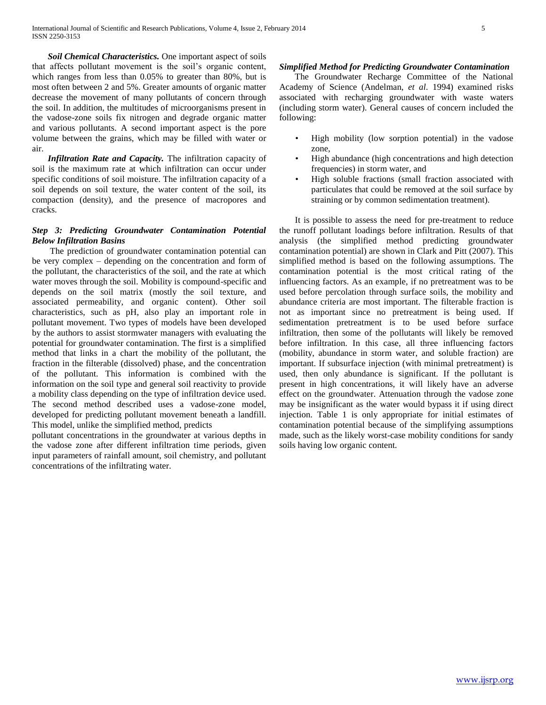*Soil Chemical Characteristics.* One important aspect of soils that affects pollutant movement is the soil's organic content, which ranges from less than 0.05% to greater than 80%, but is most often between 2 and 5%. Greater amounts of organic matter decrease the movement of many pollutants of concern through the soil. In addition, the multitudes of microorganisms present in the vadose-zone soils fix nitrogen and degrade organic matter and various pollutants. A second important aspect is the pore volume between the grains, which may be filled with water or air.

 *Infiltration Rate and Capacity.* The infiltration capacity of soil is the maximum rate at which infiltration can occur under specific conditions of soil moisture. The infiltration capacity of a soil depends on soil texture, the water content of the soil, its compaction (density), and the presence of macropores and cracks.

# *Step 3: Predicting Groundwater Contamination Potential Below Infiltration Basins*

 The prediction of groundwater contamination potential can be very complex – depending on the concentration and form of the pollutant, the characteristics of the soil, and the rate at which water moves through the soil. Mobility is compound-specific and depends on the soil matrix (mostly the soil texture, and associated permeability, and organic content). Other soil characteristics, such as pH, also play an important role in pollutant movement. Two types of models have been developed by the authors to assist stormwater managers with evaluating the potential for groundwater contamination. The first is a simplified method that links in a chart the mobility of the pollutant, the fraction in the filterable (dissolved) phase, and the concentration of the pollutant. This information is combined with the information on the soil type and general soil reactivity to provide a mobility class depending on the type of infiltration device used. The second method described uses a vadose-zone model, developed for predicting pollutant movement beneath a landfill. This model, unlike the simplified method, predicts

pollutant concentrations in the groundwater at various depths in the vadose zone after different infiltration time periods, given input parameters of rainfall amount, soil chemistry, and pollutant concentrations of the infiltrating water.

## *Simplified Method for Predicting Groundwater Contamination*

 The Groundwater Recharge Committee of the National Academy of Science (Andelman, *et al*. 1994) examined risks associated with recharging groundwater with waste waters (including storm water). General causes of concern included the following:

- High mobility (low sorption potential) in the vadose zone,
- High abundance (high concentrations and high detection frequencies) in storm water, and
- High soluble fractions (small fraction associated with particulates that could be removed at the soil surface by straining or by common sedimentation treatment).

 It is possible to assess the need for pre-treatment to reduce the runoff pollutant loadings before infiltration. Results of that analysis (the simplified method predicting groundwater contamination potential) are shown in Clark and Pitt (2007). This simplified method is based on the following assumptions. The contamination potential is the most critical rating of the influencing factors. As an example, if no pretreatment was to be used before percolation through surface soils, the mobility and abundance criteria are most important. The filterable fraction is not as important since no pretreatment is being used. If sedimentation pretreatment is to be used before surface infiltration, then some of the pollutants will likely be removed before infiltration. In this case, all three influencing factors (mobility, abundance in storm water, and soluble fraction) are important. If subsurface injection (with minimal pretreatment) is used, then only abundance is significant. If the pollutant is present in high concentrations, it will likely have an adverse effect on the groundwater. Attenuation through the vadose zone may be insignificant as the water would bypass it if using direct injection. Table 1 is only appropriate for initial estimates of contamination potential because of the simplifying assumptions made, such as the likely worst-case mobility conditions for sandy soils having low organic content.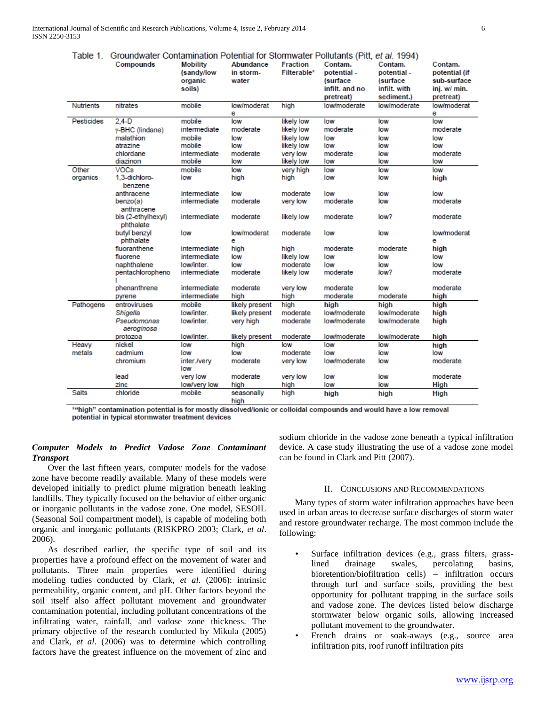| Table 1.          | Groundwater Contamination Potential for Stormwater Pollutants (Pitt, et al. 1994) |                    |                    |                 |                |              |                  |
|-------------------|-----------------------------------------------------------------------------------|--------------------|--------------------|-----------------|----------------|--------------|------------------|
|                   | Compounds                                                                         | <b>Mobility</b>    | Abundance          | <b>Fraction</b> | Contam.        | Contam.      | Contam.          |
|                   |                                                                                   | (sandy/low         | in storm-          | Filterable*     | potential -    | potential -  | potential (if    |
|                   |                                                                                   | organic            | water              |                 | (surface       | (surface     | sub-surface      |
|                   |                                                                                   | soils)             |                    |                 | infilt, and no | infilt. with | inj. w/ min.     |
|                   |                                                                                   |                    |                    |                 | pretreat)      | sediment.)   | pretreat)        |
| <b>Nutrients</b>  | nitrates                                                                          | mobile             | low/moderat        | high            | low/moderate   | low/moderate | low/moderat      |
|                   |                                                                                   |                    | е                  |                 |                |              | е                |
| <b>Pesticides</b> | $2.4-D$                                                                           | mobile             | low                | likely low      | low            | low          | low              |
|                   | y-BHC (lindane)                                                                   | intermediate       | moderate           | likely low      | moderate       | low          | moderate         |
|                   | malathion                                                                         | mobile             | low                | likely low      | low            | low          | low              |
|                   | atrazine                                                                          | mobile             | low                | likely low      | low            | low          | low              |
|                   | chlordane                                                                         | intermediate       | moderate           | very low        | moderate       | low          | moderate         |
|                   | diazinon                                                                          | mobile             | low                | likely low      | low            | low          | low              |
| Other             | <b>VOCs</b>                                                                       | mobile             | low                | very high       | low            | low          | low              |
| organics          | 1,3-dichloro-<br>benzene                                                          | low                | high               | high            | low            | low          | hiah             |
|                   | anthracene                                                                        | intermediate       | low                | moderate        | low            | low          | low              |
|                   | benzo(a)<br>anthracene                                                            | intermediate       | moderate           | very low        | moderate       | low          | moderate         |
|                   | bis (2-ethylhexyl)<br>phthalate                                                   | intermediate       | moderate           | likely low      | moderate       | low?         | moderate         |
|                   | butyl benzyl<br>phthalate                                                         | low                | low/moderat<br>е   | moderate        | low            | low          | low/moderat<br>е |
|                   | fluoranthene                                                                      | intermediate       | high               | high            | moderate       | moderate     | high             |
|                   | fluorene                                                                          | intermediate       | low                | likely low      | low            | low          | low              |
|                   | naphthalene                                                                       | low/inter.         | low                | moderate        | low            | low          | low              |
|                   | pentachloropheno                                                                  | intermediate       | moderate           | likely low      | moderate       | low?         | moderate         |
|                   | phenanthrene                                                                      | intermediate       | moderate           | very low        | moderate       | low          | moderate         |
|                   | pyrene                                                                            | intermediate       | high               | high            | moderate       | moderate     | high             |
| Pathogens         | entroviruses                                                                      | mobile             | likely present     | high            | high           | high         | high             |
|                   | Shigella                                                                          | low/inter.         | likely present     | moderate        | low/moderate   | low/moderate | high             |
|                   | Pseudomonas                                                                       | low/inter.         | very high          | moderate        | low/moderate   | low/moderate | high             |
|                   | aeroginosa                                                                        |                    |                    |                 |                |              |                  |
|                   | protozoa                                                                          | low/inter.         | likely present     | moderate        | low/moderate   | low/moderate | high             |
| Heavy             | nickel                                                                            | low                | high               | low             | low            | low          | high             |
| metals            | cadmium                                                                           | low                | low                | moderate        | low            | low          | low              |
|                   | chromium                                                                          | inter./very<br>low | moderate           | very low        | low/moderate   | low          | moderate         |
|                   | lead                                                                              | very low           | moderate           | very low        | low            | low          | moderate         |
|                   | zinc                                                                              | low/very low       | high               | high            | low            | low          | <b>High</b>      |
| <b>Salts</b>      | chloride                                                                          | mobile             | seasonally<br>hinh | high            | high           | high         | <b>High</b>      |

\*"high" contamination potential is for mostly dissolved/ionic or colloidal compounds and would have a low removal potential in typical stormwater treatment devices

# *Computer Models to Predict Vadose Zone Contaminant Transport*

 Over the last fifteen years, computer models for the vadose zone have become readily available. Many of these models were developed initially to predict plume migration beneath leaking landfills. They typically focused on the behavior of either organic or inorganic pollutants in the vadose zone. One model, SESOIL (Seasonal Soil compartment model), is capable of modeling both organic and inorganic pollutants (RISKPRO 2003; Clark, *et al*. 2006).

 As described earlier, the specific type of soil and its properties have a profound effect on the movement of water and pollutants. Three main properties were identified during modeling tudies conducted by Clark, *et al*. (2006): intrinsic permeability, organic content, and pH. Other factors beyond the soil itself also affect pollutant movement and groundwater contamination potential, including pollutant concentrations of the infiltrating water, rainfall, and vadose zone thickness. The primary objective of the research conducted by Mikula (2005) and Clark, *et al*. (2006) was to determine which controlling factors have the greatest influence on the movement of zinc and sodium chloride in the vadose zone beneath a typical infiltration device. A case study illustrating the use of a vadose zone model can be found in Clark and Pitt (2007).

#### II. CONCLUSIONS AND RECOMMENDATIONS

 Many types of storm water infiltration approaches have been used in urban areas to decrease surface discharges of storm water and restore groundwater recharge. The most common include the following:

- Surface infiltration devices (e.g., grass filters, grasslined drainage swales, percolating basins, bioretention/biofiltration cells) – infiltration occurs through turf and surface soils, providing the best opportunity for pollutant trapping in the surface soils and vadose zone. The devices listed below discharge stormwater below organic soils, allowing increased pollutant movement to the groundwater.
- French drains or soak-aways (e.g., source area infiltration pits, roof runoff infiltration pits